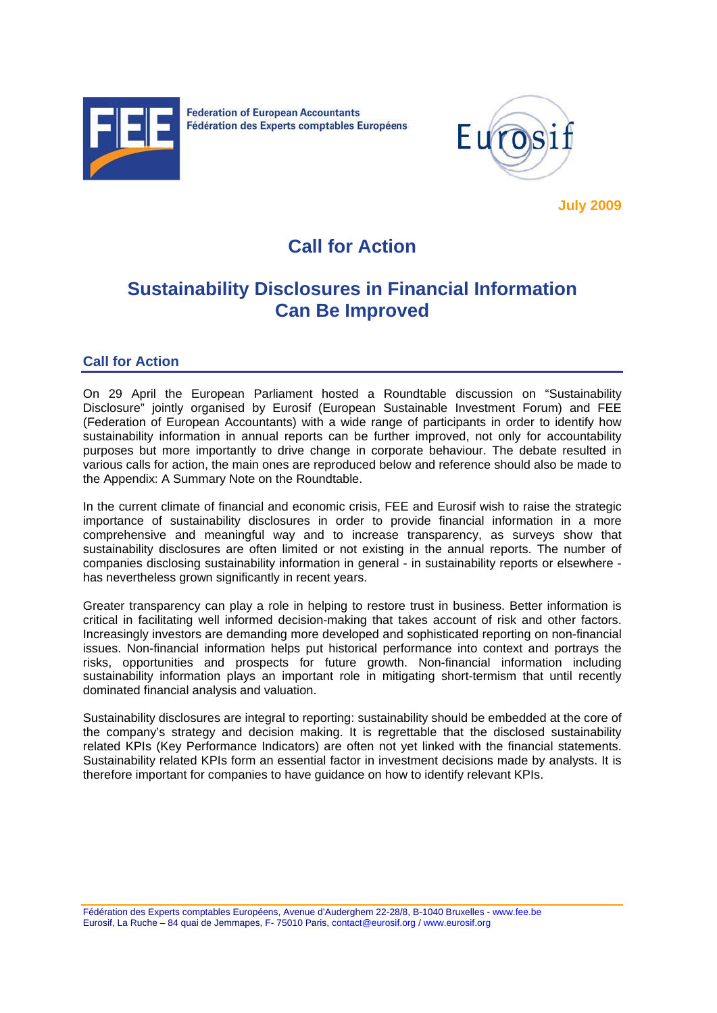



**July 2009**

# **Call for Action**

## **Sustainability Disclosures in Financial Information Can Be Improved**

## **Call for Action**

On 29 April the European Parliament hosted a Roundtable discussion on "Sustainability Disclosure" jointly organised by Eurosif (European Sustainable Investment Forum) and FEE (Federation of European Accountants) with a wide range of participants in order to identify how sustainability information in annual reports can be further improved, not only for accountability purposes but more importantly to drive change in corporate behaviour. The debate resulted in various calls for action, the main ones are reproduced below and reference should also be made to the Appendix: A Summary Note on the Roundtable.

In the current climate of financial and economic crisis, FEE and Eurosif wish to raise the strategic importance of sustainability disclosures in order to provide financial information in a more comprehensive and meaningful way and to increase transparency, as surveys show that sustainability disclosures are often limited or not existing in the annual reports. The number of companies disclosing sustainability information in general - in sustainability reports or elsewhere has nevertheless grown significantly in recent years.

Greater transparency can play a role in helping to restore trust in business. Better information is critical in facilitating well informed decision-making that takes account of risk and other factors. Increasingly investors are demanding more developed and sophisticated reporting on non-financial issues. Non-financial information helps put historical performance into context and portrays the risks, opportunities and prospects for future growth. Non-financial information including sustainability information plays an important role in mitigating short-termism that until recently dominated financial analysis and valuation.

Sustainability disclosures are integral to reporting: sustainability should be embedded at the core of the company's strategy and decision making. It is regrettable that the disclosed sustainability related KPIs (Key Performance Indicators) are often not yet linked with the financial statements. Sustainability related KPIs form an essential factor in investment decisions made by analysts. It is therefore important for companies to have guidance on how to identify relevant KPIs.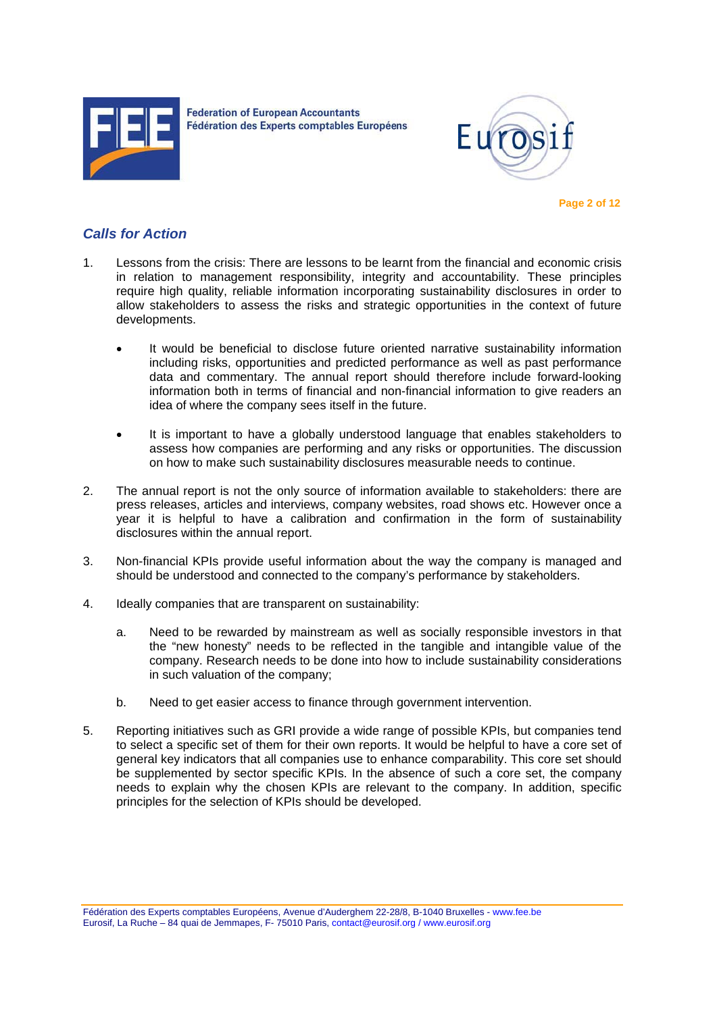



 **Page 2 of 12** 

## *Calls for Action*

- 1. Lessons from the crisis: There are lessons to be learnt from the financial and economic crisis in relation to management responsibility, integrity and accountability. These principles require high quality, reliable information incorporating sustainability disclosures in order to allow stakeholders to assess the risks and strategic opportunities in the context of future developments.
	- It would be beneficial to disclose future oriented narrative sustainability information including risks, opportunities and predicted performance as well as past performance data and commentary. The annual report should therefore include forward-looking information both in terms of financial and non-financial information to give readers an idea of where the company sees itself in the future.
	- It is important to have a globally understood language that enables stakeholders to assess how companies are performing and any risks or opportunities. The discussion on how to make such sustainability disclosures measurable needs to continue.
- 2. The annual report is not the only source of information available to stakeholders: there are press releases, articles and interviews, company websites, road shows etc. However once a year it is helpful to have a calibration and confirmation in the form of sustainability disclosures within the annual report.
- 3. Non-financial KPIs provide useful information about the way the company is managed and should be understood and connected to the company's performance by stakeholders.
- 4. Ideally companies that are transparent on sustainability:
	- a. Need to be rewarded by mainstream as well as socially responsible investors in that the "new honesty" needs to be reflected in the tangible and intangible value of the company. Research needs to be done into how to include sustainability considerations in such valuation of the company;
	- b. Need to get easier access to finance through government intervention.
- 5. Reporting initiatives such as GRI provide a wide range of possible KPIs, but companies tend to select a specific set of them for their own reports. It would be helpful to have a core set of general key indicators that all companies use to enhance comparability. This core set should be supplemented by sector specific KPIs. In the absence of such a core set, the company needs to explain why the chosen KPIs are relevant to the company. In addition, specific principles for the selection of KPIs should be developed.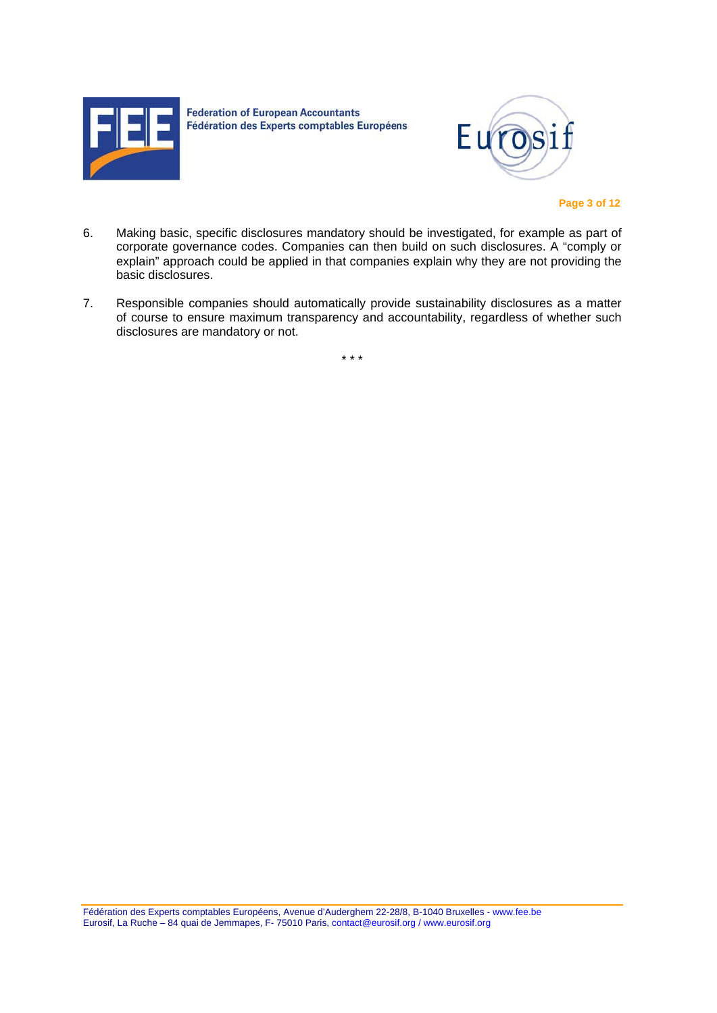



 **Page 3 of 12** 

- 6. Making basic, specific disclosures mandatory should be investigated, for example as part of corporate governance codes. Companies can then build on such disclosures. A "comply or explain" approach could be applied in that companies explain why they are not providing the basic disclosures.
- 7. Responsible companies should automatically provide sustainability disclosures as a matter of course to ensure maximum transparency and accountability, regardless of whether such disclosures are mandatory or not.

\* \* \*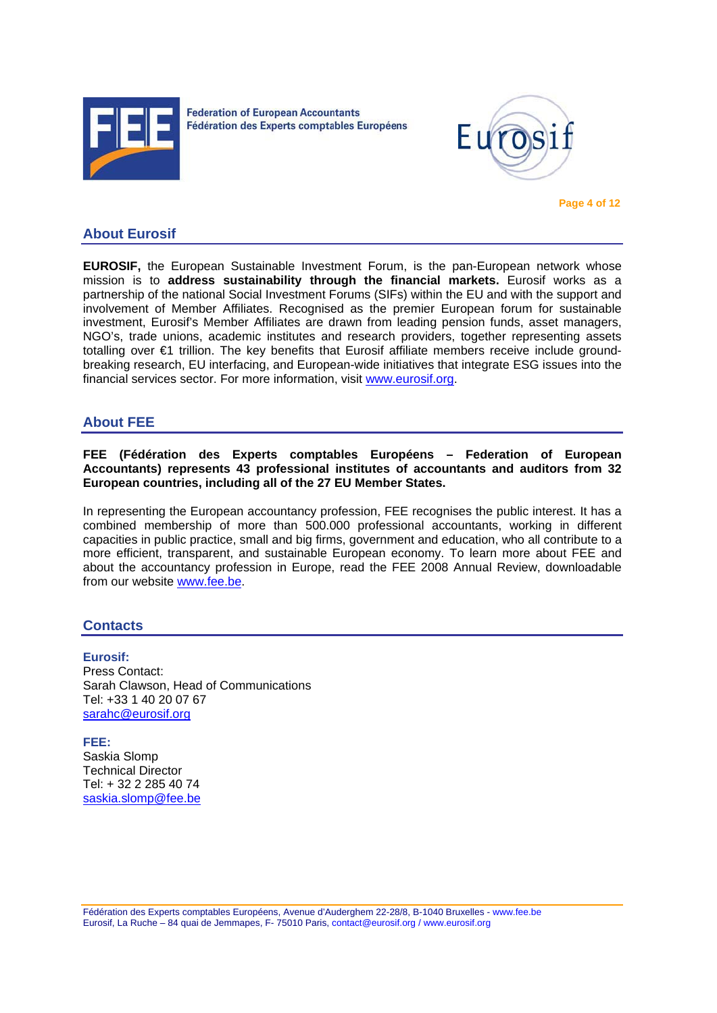



## **About Eurosif**

**EUROSIF,** the European Sustainable Investment Forum, is the pan-European network whose mission is to **address sustainability through the financial markets.** Eurosif works as a partnership of the national Social Investment Forums (SIFs) within the EU and with the support and involvement of Member Affiliates. Recognised as the premier European forum for sustainable investment, Eurosif's Member Affiliates are drawn from leading pension funds, asset managers, NGO's, trade unions, academic institutes and research providers, together representing assets totalling over €1 trillion. The key benefits that Eurosif affiliate members receive include groundbreaking research, EU interfacing, and European-wide initiatives that integrate ESG issues into the financial services sector. For more information, visit www.eurosif.org.

### **About FEE**

#### **FEE (Fédération des Experts comptables Européens – Federation of European Accountants) represents 43 professional institutes of accountants and auditors from 32 European countries, including all of the 27 EU Member States.**

In representing the European accountancy profession, FEE recognises the public interest. It has a combined membership of more than 500.000 professional accountants, working in different capacities in public practice, small and big firms, government and education, who all contribute to a more efficient, transparent, and sustainable European economy. To learn more about FEE and about the accountancy profession in Europe, read the FEE 2008 Annual Review, downloadable from our website www.fee.be.

## **Contacts**

### **Eurosif:**

Press Contact: Sarah Clawson, Head of Communications Tel: +33 1 40 20 07 67 sarahc@eurosif.org

**FEE:**  Saskia Slomp Technical Director Tel: + 32 2 285 40 74 saskia.slomp@fee.be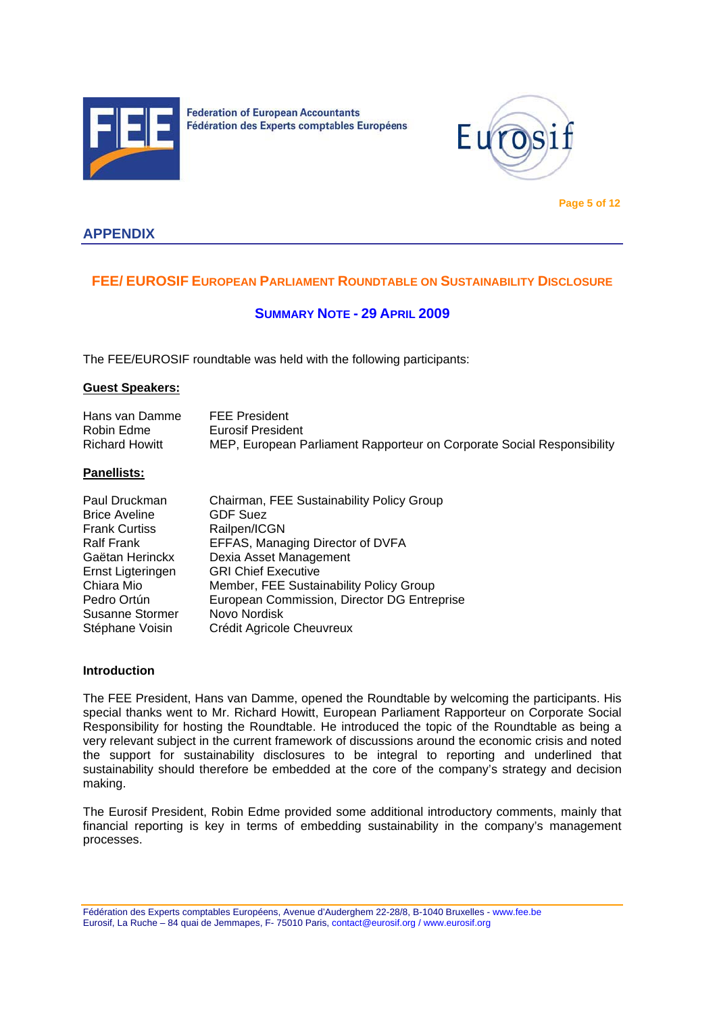



 **Page 5 of 12** 

## **APPENDIX**

## **FEE/ EUROSIF EUROPEAN PARLIAMENT ROUNDTABLE ON SUSTAINABILITY DISCLOSURE**

## **SUMMARY NOTE - 29 APRIL 2009**

The FEE/EUROSIF roundtable was held with the following participants:

#### **Guest Speakers:**

| Hans van Damme        | <b>FEE President</b>                                                   |
|-----------------------|------------------------------------------------------------------------|
| Robin Edme            | Eurosif President                                                      |
| <b>Richard Howitt</b> | MEP, European Parliament Rapporteur on Corporate Social Responsibility |

#### **Panellists:**

| Paul Druckman          | Chairman, FEE Sustainability Policy Group   |
|------------------------|---------------------------------------------|
| <b>Brice Aveline</b>   | <b>GDF Suez</b>                             |
| <b>Frank Curtiss</b>   | Railpen/ICGN                                |
| <b>Ralf Frank</b>      | EFFAS, Managing Director of DVFA            |
| Gaëtan Herinckx        | Dexia Asset Management                      |
| Ernst Ligteringen      | <b>GRI Chief Executive</b>                  |
| Chiara Mio             | Member, FEE Sustainability Policy Group     |
| Pedro Ortún            | European Commission, Director DG Entreprise |
| <b>Susanne Stormer</b> | Novo Nordisk                                |
| Stéphane Voisin        | Crédit Agricole Cheuvreux                   |

#### **Introduction**

The FEE President, Hans van Damme, opened the Roundtable by welcoming the participants. His special thanks went to Mr. Richard Howitt, European Parliament Rapporteur on Corporate Social Responsibility for hosting the Roundtable. He introduced the topic of the Roundtable as being a very relevant subject in the current framework of discussions around the economic crisis and noted the support for sustainability disclosures to be integral to reporting and underlined that sustainability should therefore be embedded at the core of the company's strategy and decision making.

The Eurosif President, Robin Edme provided some additional introductory comments, mainly that financial reporting is key in terms of embedding sustainability in the company's management processes.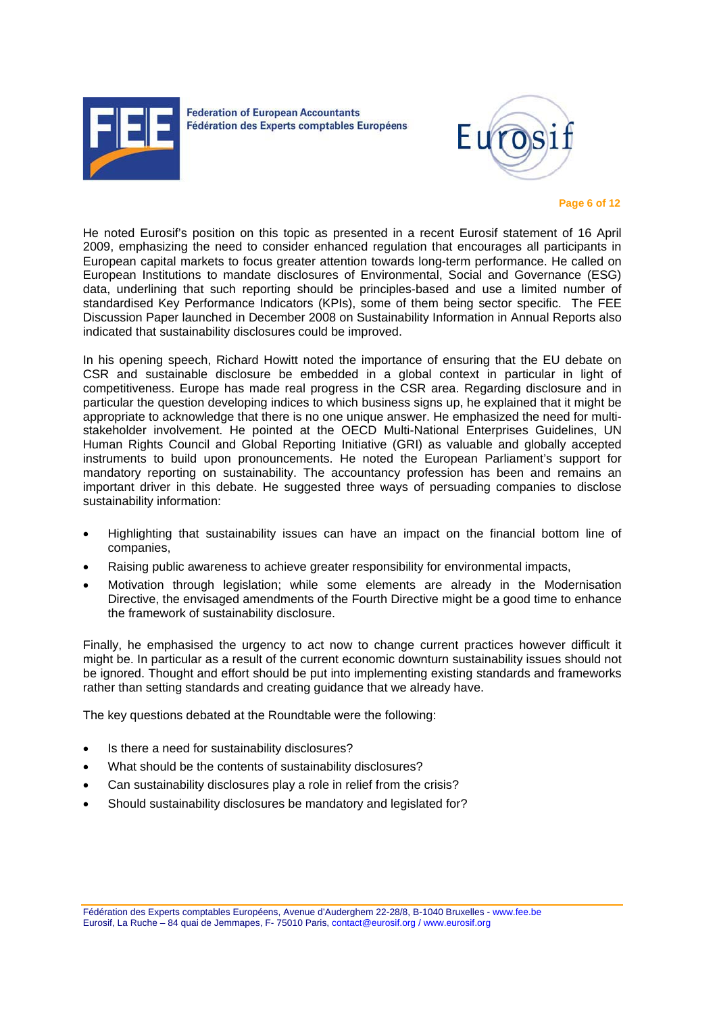



#### **Page 6 of 12**

He noted Eurosif's position on this topic as presented in a recent Eurosif statement of 16 April 2009, emphasizing the need to consider enhanced regulation that encourages all participants in European capital markets to focus greater attention towards long-term performance. He called on European Institutions to mandate disclosures of Environmental, Social and Governance (ESG) data, underlining that such reporting should be principles-based and use a limited number of standardised Key Performance Indicators (KPIs), some of them being sector specific. The FEE Discussion Paper launched in December 2008 on Sustainability Information in Annual Reports also indicated that sustainability disclosures could be improved.

In his opening speech, Richard Howitt noted the importance of ensuring that the EU debate on CSR and sustainable disclosure be embedded in a global context in particular in light of competitiveness. Europe has made real progress in the CSR area. Regarding disclosure and in particular the question developing indices to which business signs up, he explained that it might be appropriate to acknowledge that there is no one unique answer. He emphasized the need for multistakeholder involvement. He pointed at the OECD Multi-National Enterprises Guidelines, UN Human Rights Council and Global Reporting Initiative (GRI) as valuable and globally accepted instruments to build upon pronouncements. He noted the European Parliament's support for mandatory reporting on sustainability. The accountancy profession has been and remains an important driver in this debate. He suggested three ways of persuading companies to disclose sustainability information:

- Highlighting that sustainability issues can have an impact on the financial bottom line of companies,
- Raising public awareness to achieve greater responsibility for environmental impacts,
- Motivation through legislation; while some elements are already in the Modernisation Directive, the envisaged amendments of the Fourth Directive might be a good time to enhance the framework of sustainability disclosure.

Finally, he emphasised the urgency to act now to change current practices however difficult it might be. In particular as a result of the current economic downturn sustainability issues should not be ignored. Thought and effort should be put into implementing existing standards and frameworks rather than setting standards and creating guidance that we already have.

The key questions debated at the Roundtable were the following:

- Is there a need for sustainability disclosures?
- What should be the contents of sustainability disclosures?
- Can sustainability disclosures play a role in relief from the crisis?
- Should sustainability disclosures be mandatory and legislated for?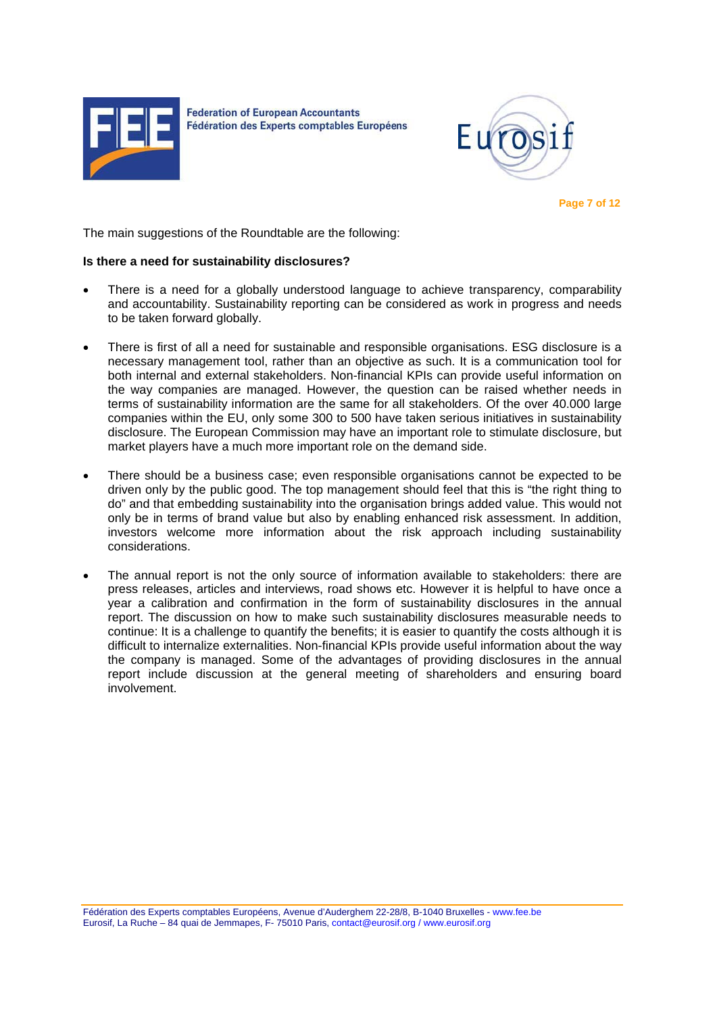



 **Page 7 of 12** 

The main suggestions of the Roundtable are the following:

#### **Is there a need for sustainability disclosures?**

- There is a need for a globally understood language to achieve transparency, comparability and accountability. Sustainability reporting can be considered as work in progress and needs to be taken forward globally.
- There is first of all a need for sustainable and responsible organisations. ESG disclosure is a necessary management tool, rather than an objective as such. It is a communication tool for both internal and external stakeholders. Non-financial KPIs can provide useful information on the way companies are managed. However, the question can be raised whether needs in terms of sustainability information are the same for all stakeholders. Of the over 40.000 large companies within the EU, only some 300 to 500 have taken serious initiatives in sustainability disclosure. The European Commission may have an important role to stimulate disclosure, but market players have a much more important role on the demand side.
- There should be a business case; even responsible organisations cannot be expected to be driven only by the public good. The top management should feel that this is "the right thing to do" and that embedding sustainability into the organisation brings added value. This would not only be in terms of brand value but also by enabling enhanced risk assessment. In addition, investors welcome more information about the risk approach including sustainability considerations.
- The annual report is not the only source of information available to stakeholders: there are press releases, articles and interviews, road shows etc. However it is helpful to have once a year a calibration and confirmation in the form of sustainability disclosures in the annual report. The discussion on how to make such sustainability disclosures measurable needs to continue: It is a challenge to quantify the benefits; it is easier to quantify the costs although it is difficult to internalize externalities. Non-financial KPIs provide useful information about the way the company is managed. Some of the advantages of providing disclosures in the annual report include discussion at the general meeting of shareholders and ensuring board involvement.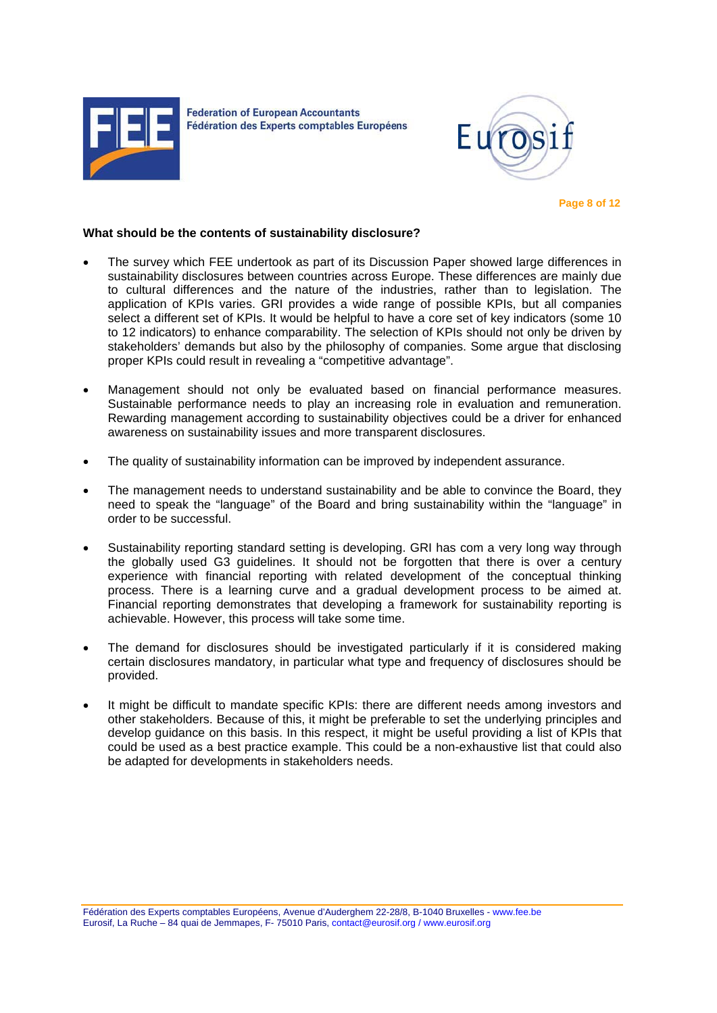



 **Page 8 of 12** 

#### **What should be the contents of sustainability disclosure?**

- The survey which FEE undertook as part of its Discussion Paper showed large differences in sustainability disclosures between countries across Europe. These differences are mainly due to cultural differences and the nature of the industries, rather than to legislation. The application of KPIs varies. GRI provides a wide range of possible KPIs, but all companies select a different set of KPIs. It would be helpful to have a core set of key indicators (some 10 to 12 indicators) to enhance comparability. The selection of KPIs should not only be driven by stakeholders' demands but also by the philosophy of companies. Some argue that disclosing proper KPIs could result in revealing a "competitive advantage".
- Management should not only be evaluated based on financial performance measures. Sustainable performance needs to play an increasing role in evaluation and remuneration. Rewarding management according to sustainability objectives could be a driver for enhanced awareness on sustainability issues and more transparent disclosures.
- The quality of sustainability information can be improved by independent assurance.
- The management needs to understand sustainability and be able to convince the Board, they need to speak the "language" of the Board and bring sustainability within the "language" in order to be successful.
- Sustainability reporting standard setting is developing. GRI has com a very long way through the globally used G3 guidelines. It should not be forgotten that there is over a century experience with financial reporting with related development of the conceptual thinking process. There is a learning curve and a gradual development process to be aimed at. Financial reporting demonstrates that developing a framework for sustainability reporting is achievable. However, this process will take some time.
- The demand for disclosures should be investigated particularly if it is considered making certain disclosures mandatory, in particular what type and frequency of disclosures should be provided.
- It might be difficult to mandate specific KPIs: there are different needs among investors and other stakeholders. Because of this, it might be preferable to set the underlying principles and develop guidance on this basis. In this respect, it might be useful providing a list of KPIs that could be used as a best practice example. This could be a non-exhaustive list that could also be adapted for developments in stakeholders needs.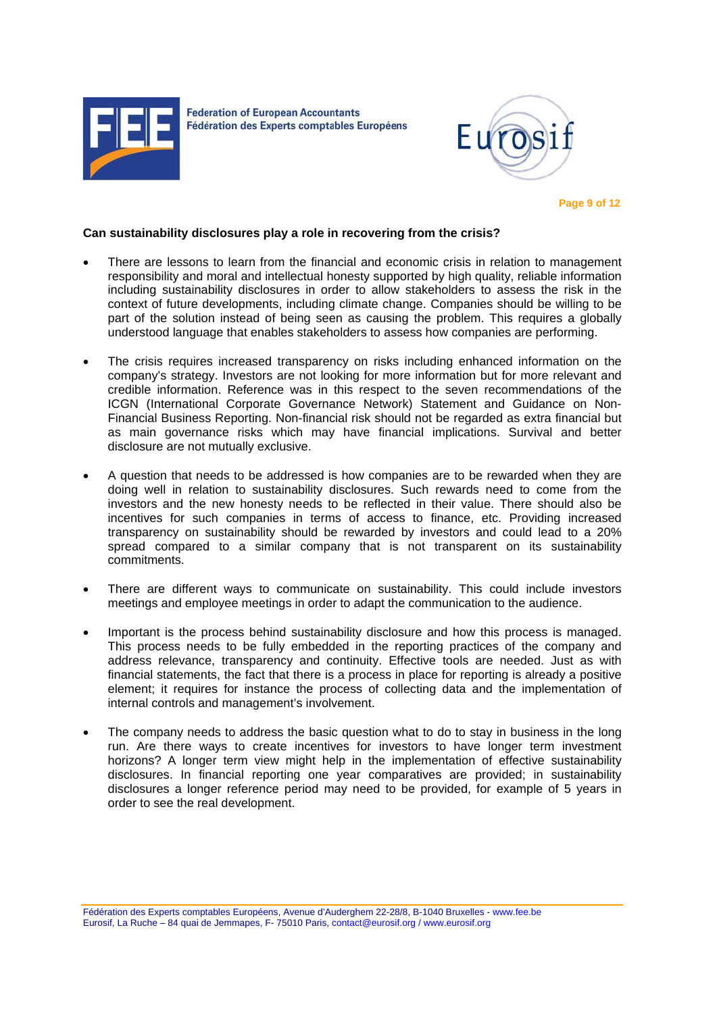



 **Page 9 of 12** 

#### **Can sustainability disclosures play a role in recovering from the crisis?**

- There are lessons to learn from the financial and economic crisis in relation to management responsibility and moral and intellectual honesty supported by high quality, reliable information including sustainability disclosures in order to allow stakeholders to assess the risk in the context of future developments, including climate change. Companies should be willing to be part of the solution instead of being seen as causing the problem. This requires a globally understood language that enables stakeholders to assess how companies are performing.
- The crisis requires increased transparency on risks including enhanced information on the company's strategy. Investors are not looking for more information but for more relevant and credible information. Reference was in this respect to the seven recommendations of the ICGN (International Corporate Governance Network) Statement and Guidance on Non-Financial Business Reporting. Non-financial risk should not be regarded as extra financial but as main governance risks which may have financial implications. Survival and better disclosure are not mutually exclusive.
- A question that needs to be addressed is how companies are to be rewarded when they are doing well in relation to sustainability disclosures. Such rewards need to come from the investors and the new honesty needs to be reflected in their value. There should also be incentives for such companies in terms of access to finance, etc. Providing increased transparency on sustainability should be rewarded by investors and could lead to a 20% spread compared to a similar company that is not transparent on its sustainability commitments.
- There are different ways to communicate on sustainability. This could include investors meetings and employee meetings in order to adapt the communication to the audience.
- Important is the process behind sustainability disclosure and how this process is managed. This process needs to be fully embedded in the reporting practices of the company and address relevance, transparency and continuity. Effective tools are needed. Just as with financial statements, the fact that there is a process in place for reporting is already a positive element; it requires for instance the process of collecting data and the implementation of internal controls and management's involvement.
- The company needs to address the basic question what to do to stay in business in the long run. Are there ways to create incentives for investors to have longer term investment horizons? A longer term view might help in the implementation of effective sustainability disclosures. In financial reporting one year comparatives are provided; in sustainability disclosures a longer reference period may need to be provided, for example of 5 years in order to see the real development.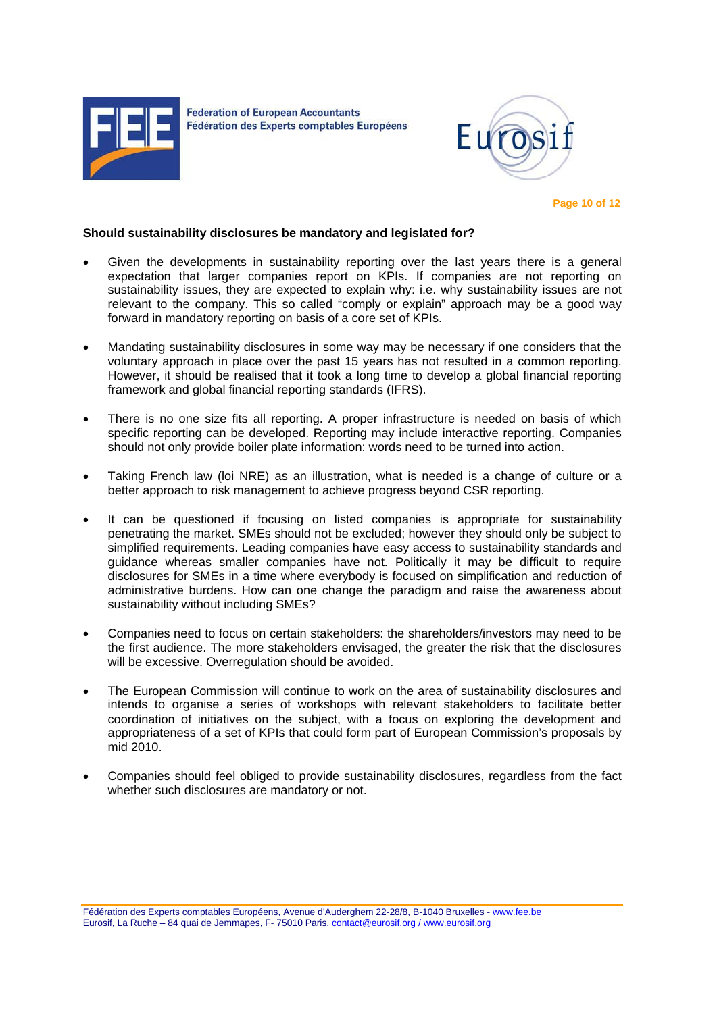



 **Page 10 of 12** 

#### **Should sustainability disclosures be mandatory and legislated for?**

- Given the developments in sustainability reporting over the last years there is a general expectation that larger companies report on KPIs. If companies are not reporting on sustainability issues, they are expected to explain why: i.e. why sustainability issues are not relevant to the company. This so called "comply or explain" approach may be a good way forward in mandatory reporting on basis of a core set of KPIs.
- Mandating sustainability disclosures in some way may be necessary if one considers that the voluntary approach in place over the past 15 years has not resulted in a common reporting. However, it should be realised that it took a long time to develop a global financial reporting framework and global financial reporting standards (IFRS).
- There is no one size fits all reporting. A proper infrastructure is needed on basis of which specific reporting can be developed. Reporting may include interactive reporting. Companies should not only provide boiler plate information: words need to be turned into action.
- Taking French law (loi NRE) as an illustration, what is needed is a change of culture or a better approach to risk management to achieve progress beyond CSR reporting.
- It can be questioned if focusing on listed companies is appropriate for sustainability penetrating the market. SMEs should not be excluded; however they should only be subject to simplified requirements. Leading companies have easy access to sustainability standards and guidance whereas smaller companies have not. Politically it may be difficult to require disclosures for SMEs in a time where everybody is focused on simplification and reduction of administrative burdens. How can one change the paradigm and raise the awareness about sustainability without including SMEs?
- Companies need to focus on certain stakeholders: the shareholders/investors may need to be the first audience. The more stakeholders envisaged, the greater the risk that the disclosures will be excessive. Overregulation should be avoided.
- The European Commission will continue to work on the area of sustainability disclosures and intends to organise a series of workshops with relevant stakeholders to facilitate better coordination of initiatives on the subject, with a focus on exploring the development and appropriateness of a set of KPIs that could form part of European Commission's proposals by mid 2010.
- Companies should feel obliged to provide sustainability disclosures, regardless from the fact whether such disclosures are mandatory or not.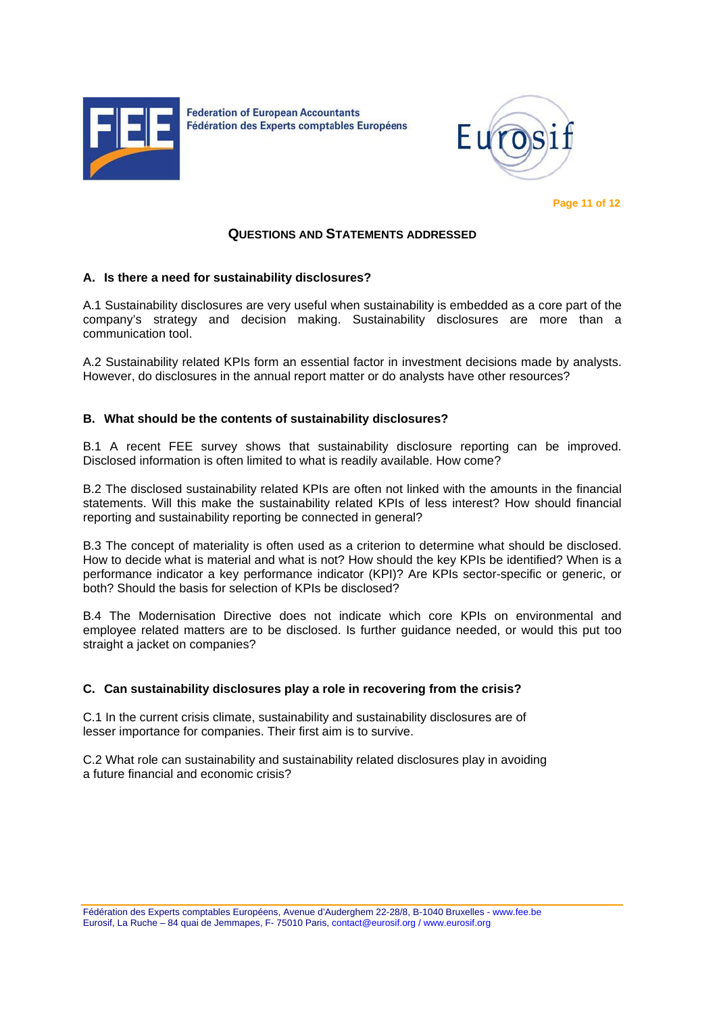



 **Page 11 of 12** 

### **QUESTIONS AND STATEMENTS ADDRESSED**

### **A. Is there a need for sustainability disclosures?**

A.1 Sustainability disclosures are very useful when sustainability is embedded as a core part of the company's strategy and decision making. Sustainability disclosures are more than a communication tool.

A.2 Sustainability related KPIs form an essential factor in investment decisions made by analysts. However, do disclosures in the annual report matter or do analysts have other resources?

#### **B. What should be the contents of sustainability disclosures?**

B.1 A recent FEE survey shows that sustainability disclosure reporting can be improved. Disclosed information is often limited to what is readily available. How come?

B.2 The disclosed sustainability related KPIs are often not linked with the amounts in the financial statements. Will this make the sustainability related KPIs of less interest? How should financial reporting and sustainability reporting be connected in general?

B.3 The concept of materiality is often used as a criterion to determine what should be disclosed. How to decide what is material and what is not? How should the key KPIs be identified? When is a performance indicator a key performance indicator (KPI)? Are KPIs sector-specific or generic, or both? Should the basis for selection of KPIs be disclosed?

B.4 The Modernisation Directive does not indicate which core KPIs on environmental and employee related matters are to be disclosed. Is further guidance needed, or would this put too straight a jacket on companies?

### **C. Can sustainability disclosures play a role in recovering from the crisis?**

C.1 In the current crisis climate, sustainability and sustainability disclosures are of lesser importance for companies. Their first aim is to survive.

C.2 What role can sustainability and sustainability related disclosures play in avoiding a future financial and economic crisis?